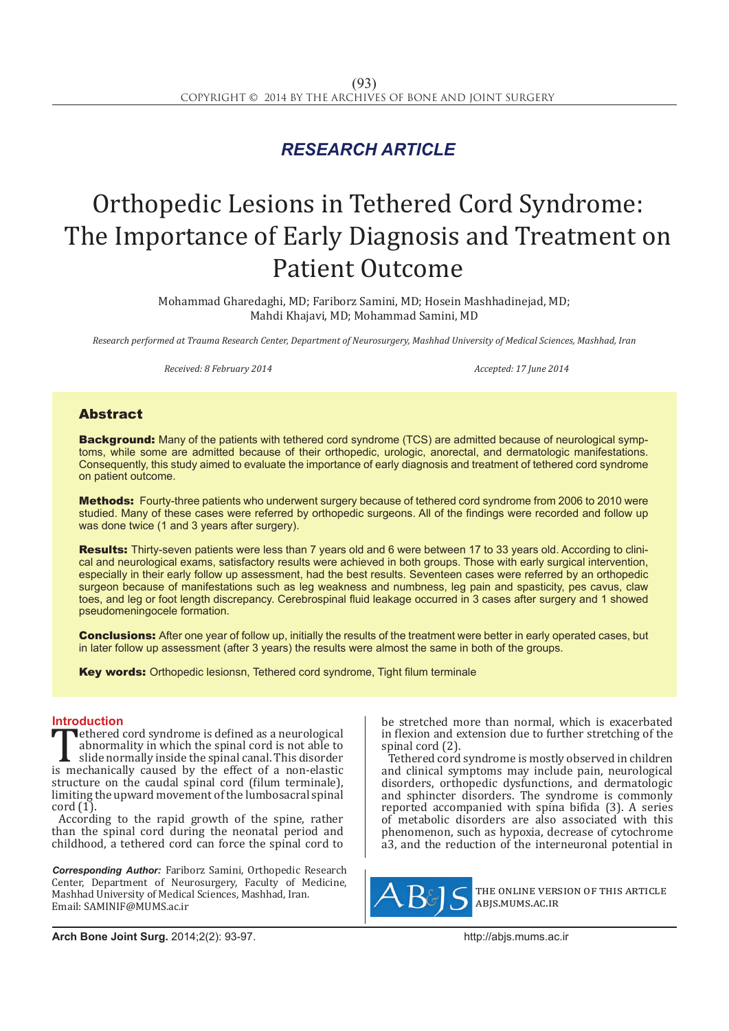## *RESEARCH ARTICLE*

# Orthopedic Lesions in Tethered Cord Syndrome: The Importance of Early Diagnosis and Treatment on Patient Outcome

Mohammad Gharedaghi, MD; Fariborz Samini, MD; Hosein Mashhadinejad, MD; Mahdi Khajavi, MD; Mohammad Samini, MD

*Research performed at Trauma Research Center, Department of Neurosurgery, Mashhad University of Medical Sciences, Mashhad, Iran*

*Received: 8 February 2014 Accepted: 17 June 2014*

### Abstract

**Background:** Many of the patients with tethered cord syndrome (TCS) are admitted because of neurological symptoms, while some are admitted because of their orthopedic, urologic, anorectal, and dermatologic manifestations. Consequently, this study aimed to evaluate the importance of early diagnosis and treatment of tethered cord syndrome on patient outcome.

Methods: Fourty-three patients who underwent surgery because of tethered cord syndrome from 2006 to 2010 were studied. Many of these cases were referred by orthopedic surgeons. All of the findings were recorded and follow up was done twice (1 and 3 years after surgery).

Results: Thirty-seven patients were less than 7 years old and 6 were between 17 to 33 years old. According to clinical and neurological exams, satisfactory results were achieved in both groups. Those with early surgical intervention, especially in their early follow up assessment, had the best results. Seventeen cases were referred by an orthopedic surgeon because of manifestations such as leg weakness and numbness, leg pain and spasticity, pes cavus, claw toes, and leg or foot length discrepancy. Cerebrospinal fluid leakage occurred in 3 cases after surgery and 1 showed pseudomeningocele formation.

Conclusions: After one year of follow up, initially the results of the treatment were better in early operated cases, but in later follow up assessment (after 3 years) the results were almost the same in both of the groups.

Key words: Orthopedic lesionsn, Tethered cord syndrome, Tight filum terminale

**Introduction**<br>**The example 201** ethered cord syndrome is defined as a neurological **Tethered cord syndrome is defined as a neurological abnormality in which the spinal cord is not able to side normally inside the spinal canal. This disorder is mechanically caused by the effect of a non-elastic structure** abnormality in which the spinal cord is not able to slide normally inside the spinal canal. This disorder structure on the caudal spinal cord (filum terminale), limiting the upward movement of the lumbosacral spinal  $\text{cord } (1).$ 

According to the rapid growth of the spine, rather than the spinal cord during the neonatal period and childhood, a tethered cord can force the spinal cord to

*Corresponding Author:* Fariborz Samini, Orthopedic Research Center, Department of Neurosurgery, Faculty of Medicine, Mashhad University of Medical Sciences, Mashhad, Iran. Email: SAMINIF@MUMS.ac.ir

be stretched more than normal, which is exacerbated in flexion and extension due to further stretching of the spinal cord (2).

Tethered cord syndrome is mostly observed in children and clinical symptoms may include pain, neurological disorders, orthopedic dysfunctions, and dermatologic and sphincter disorders. The syndrome is commonly reported accompanied with spina bifida (3). A series of metabolic disorders are also associated with this phenomenon, such as hypoxia, decrease of cytochrome a3, and the reduction of the interneuronal potential in



the online version of this article abjs.mums.ac.ir

**Arch Bone Joint Surg.** 2014;2(2): 93-97.http://abjs.mums.ac.ir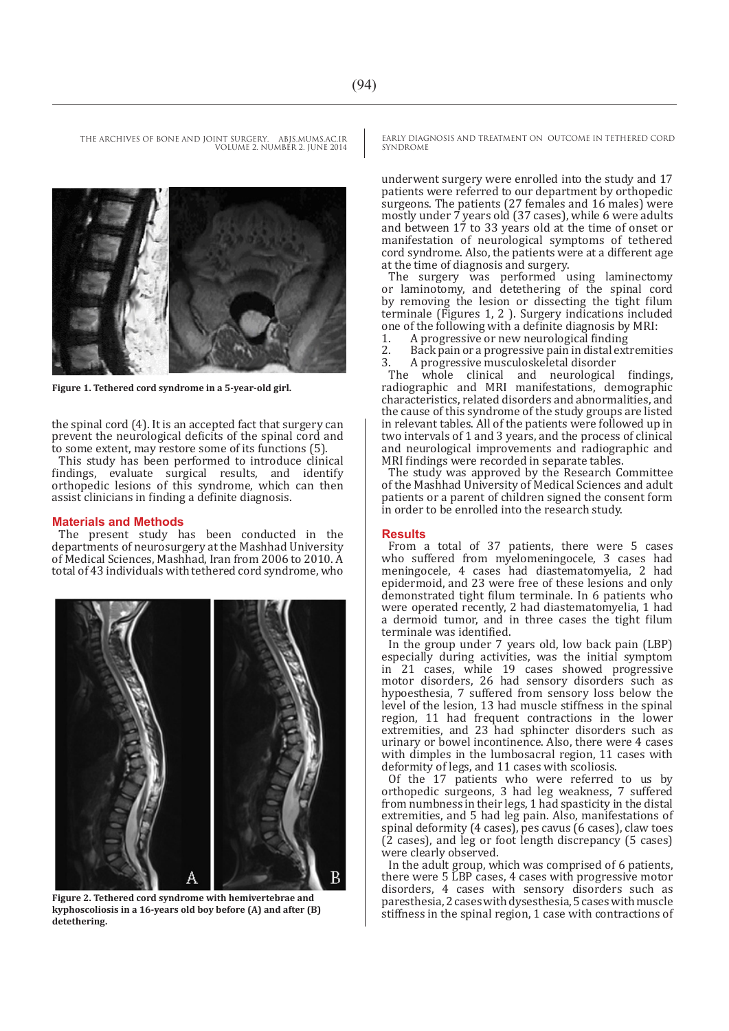THE ARCHIVES OF BONE AND JOINT SURGERY. ABJS.MUMS.AC.IR VOLUME 2. NUMBER 2. JUNE 2014



**Figure 1. Tethered cord syndrome in a 5-year-old girl.**

the spinal cord (4). It is an accepted fact that surgery can prevent the neurological deficits of the spinal cord and to some extent, may restore some of its functions (5).

This study has been performed to introduce clinical findings, evaluate surgical results, and identify evaluate surgical results, and identify orthopedic lesions of this syndrome, which can then assist clinicians in finding a definite diagnosis.

#### **Materials and Methods**

The present study has been conducted in the departments of neurosurgery at the Mashhad University of Medical Sciences, Mashhad, Iran from 2006 to 2010. A total of 43 individuals with tethered cord syndrome, who



**Figure 2. Tethered cord syndrome with hemivertebrae and kyphoscoliosis in a 16-years old boy before (A) and after (B) detethering.**

EARLY DIAGNOSIS AND TREATMENT ON OUTCOME IN TETHERED CORD SYNDROME

underwent surgery were enrolled into the study and 17 patients were referred to our department by orthopedic surgeons. The patients (27 females and 16 males) were mostly under 7 years old (37 cases), while 6 were adults and between 17 to 33 years old at the time of onset or manifestation of neurological symptoms of tethered cord syndrome. Also, the patients were at a different age at the time of diagnosis and surgery.

The surgery was performed using laminectomy or laminotomy, and detethering of the spinal cord by removing the lesion or dissecting the tight filum terminale (Figures 1, 2 ). Surgery indications included one of the following with a definite diagnosis by MRI:<br>1. A progressive or new neurological finding

- 1. A progressive or new neurological finding<br>2. Back pain or a progressive pain in distal ext
- 2. Back pain or a progressive pain in distal extremities<br>3. A progressive musculoskeletal disorder 3. A progressive musculoskeletal disorder

The whole clinical and neurological findings, radiographic and MRI manifestations, demographic characteristics, related disorders and abnormalities, and the cause of this syndrome of the study groups are listed in relevant tables. All of the patients were followed up in two intervals of 1 and 3 years, and the process of clinical and neurological improvements and radiographic and MRI findings were recorded in separate tables.

The study was approved by the Research Committee of the Mashhad University of Medical Sciences and adult patients or a parent of children signed the consent form in order to be enrolled into the research study.

#### **Results**

From a total of 37 patients, there were 5 cases who suffered from myelomeningocele, 3 cases had meningocele, 4 cases had diastematomyelia, 2 had epidermoid, and 23 were free of these lesions and only demonstrated tight filum terminale. In 6 patients who were operated recently, 2 had diastematomyelia, 1 had a dermoid tumor, and in three cases the tight filum terminale was identified.

In the group under 7 years old, low back pain (LBP) especially during activities, was the initial symptom in 21 cases, while 19 cases showed progressive motor disorders, 26 had sensory disorders such as hypoesthesia, 7 suffered from sensory loss below the level of the lesion, 13 had muscle stiffness in the spinal region, 11 had frequent contractions in the lower extremities, and 23 had sphincter disorders such as urinary or bowel incontinence. Also, there were 4 cases with dimples in the lumbosacral region, 11 cases with deformity of legs, and 11 cases with scoliosis.

Of the 17 patients who were referred to us by orthopedic surgeons, 3 had leg weakness, 7 suffered from numbness in their legs, 1 had spasticity in the distal extremities, and 5 had leg pain. Also, manifestations of spinal deformity (4 cases), pes cavus (6 cases), claw toes (2 cases), and leg or foot length discrepancy (5 cases) were clearly observed.

In the adult group, which was comprised of 6 patients, there were 5 LBP cases, 4 cases with progressive motor disorders, 4 cases with sensory disorders such as paresthesia, 2 cases with dysesthesia, 5 cases with muscle stiffness in the spinal region, 1 case with contractions of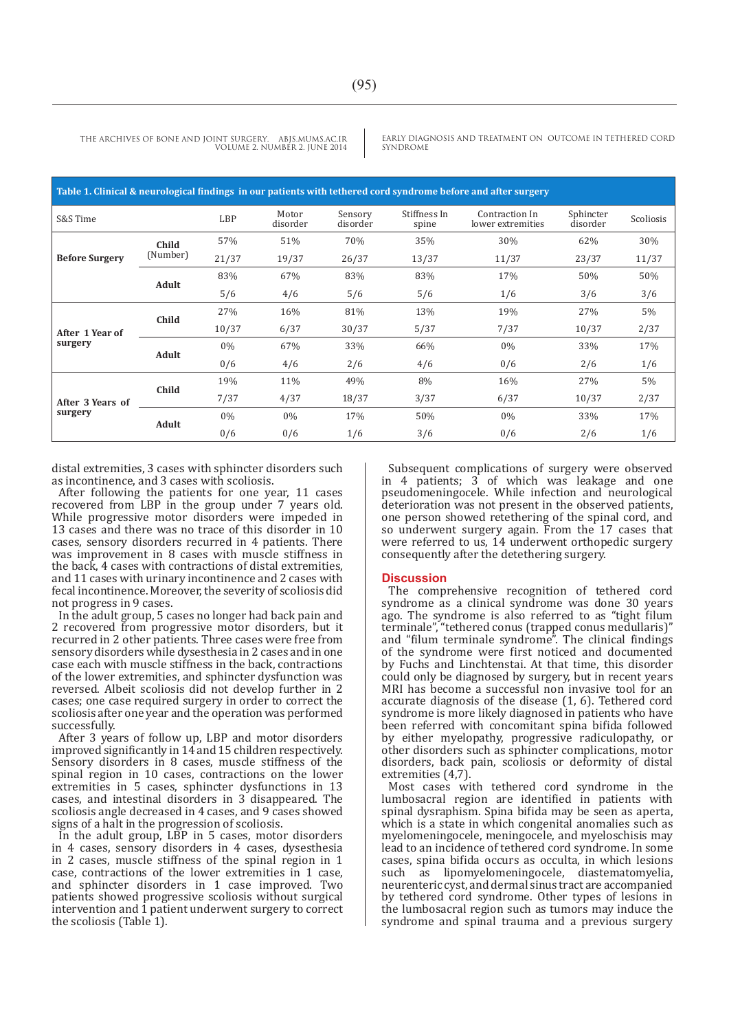**Table 1. Clinical & neurological findings in our patients with tethered cord syndrome before and after surgery** Scoliosis Sphincter disorder Contraction In lower extremities Stiffness In spine Sensory disorder Motor<br>disorder disorder LBP disorder **Child** 57% 51% 70% 35% 30% 52% 52% 30% **Before Surgery** (Number) 21/37 19/37 26/37 13/37 11/37 23/37 11/37 83% 67% 83% 83% 17% 50% 50% **Adult** 5/6 4/6 5/6 5/6 1/6 3/6 3/6  $27\%$  16% 81% 13% 19% 27% 5% **Child After 1 Year of surgery** 10/37 6/37 30/37 5/37 7/37 10/37 2/37  $0\%$  67% 33% 66%  $0\%$  9% 33% 17% **Adult**  $0/6$   $4/6$   $2/6$   $4/6$   $0/6$   $2/6$   $1/6$  $19\%$   $11\%$   $49\%$   $8\%$   $16\%$   $27\%$   $5\%$ **Child After 3 Years of surgery** 7/37 4/37 18/37 3/37 6/37 10/37 2/37 0% 0% 17% 50% 0% 33% 17% **Adult** 0/6 0/6 1/6 3/6 0/6 2/6 1/6

THE ARCHIVES OF BONE AND JOINT SURGERY. ABJS.MUMS.AC.IR VOLUME 2. NUMBER 2. JUNE 2014 EARLY DIAGNOSIS AND TREATMENT ON OUTCOME IN TETHERED CORD SYNDROME

distal extremities, 3 cases with sphincter disorders such as incontinence, and 3 cases with scoliosis.

After following the patients for one year, 11 cases recovered from LBP in the group under 7 years old. While progressive motor disorders were impeded in 13 cases and there was no trace of this disorder in 10 cases, sensory disorders recurred in 4 patients. There was improvement in 8 cases with muscle stiffness in the back, 4 cases with contractions of distal extremities, and 11 cases with urinary incontinence and 2 cases with fecal incontinence. Moreover, the severity of scoliosis did not progress in 9 cases.

In the adult group, 5 cases no longer had back pain and 2 recovered from progressive motor disorders, but it recurred in 2 other patients. Three cases were free from sensory disorders while dysesthesia in 2 cases and in one case each with muscle stiffness in the back, contractions of the lower extremities, and sphincter dysfunction was reversed. Albeit scoliosis did not develop further in 2 cases; one case required surgery in order to correct the scoliosis after one year and the operation was performed successfully.

After 3 years of follow up, LBP and motor disorders improved significantly in 14 and 15 children respectively. Sensory disorders in 8 cases, muscle stiffness of the spinal region in 10 cases, contractions on the lower extremities in 5 cases, sphincter dysfunctions in 13 cases, and intestinal disorders in 3 disappeared. The scoliosis angle decreased in 4 cases, and 9 cases showed signs of a halt in the progression of scoliosis.

In the adult group, LBP in 5 cases, motor disorders in 4 cases, sensory disorders in 4 cases, dysesthesia in 2 cases, muscle stiffness of the spinal region in 1 case, contractions of the lower extremities in 1 case, and sphincter disorders in 1 case improved. Two patients showed progressive scoliosis without surgical intervention and 1 patient underwent surgery to correct the scoliosis (Table 1).

Subsequent complications of surgery were observed in 4 patients; 3 of which was leakage and one pseudomeningocele. While infection and neurological deterioration was not present in the observed patients, one person showed retethering of the spinal cord, and so underwent surgery again. From the 17 cases that were referred to us, 14 underwent orthopedic surgery consequently after the detethering surgery.

#### **Discussion**

The comprehensive recognition of tethered cord syndrome as a clinical syndrome was done 30 years ago. The syndrome is also referred to as "tight filum terminale", "tethered conus (trapped conus medullaris)" and "filum terminale syndrome". The clinical findings of the syndrome were first noticed and documented by Fuchs and Linchtenstai. At that time, this disorder could only be diagnosed by surgery, but in recent years MRI has become a successful non invasive tool for an accurate diagnosis of the disease (1, 6). Tethered cord syndrome is more likely diagnosed in patients who have been referred with concomitant spina bifida followed by either myelopathy, progressive radiculopathy, or other disorders such as sphincter complications, motor disorders, back pain, scoliosis or deformity of distal extremities (4,7)

Most cases with tethered cord syndrome in the lumbosacral region are identified in patients with spinal dysraphism. Spina bifida may be seen as aperta, which is a state in which congenital anomalies such as myelomeningocele, meningocele, and myeloschisis may lead to an incidence of tethered cord syndrome. In some cases, spina bifida occurs as occulta, in which lesions such as lipomyelomeningocele, diastematomyelia, neurenteric cyst, and dermal sinus tract are accompanied by tethered cord syndrome. Other types of lesions in the lumbosacral region such as tumors may induce the syndrome and spinal trauma and a previous surgery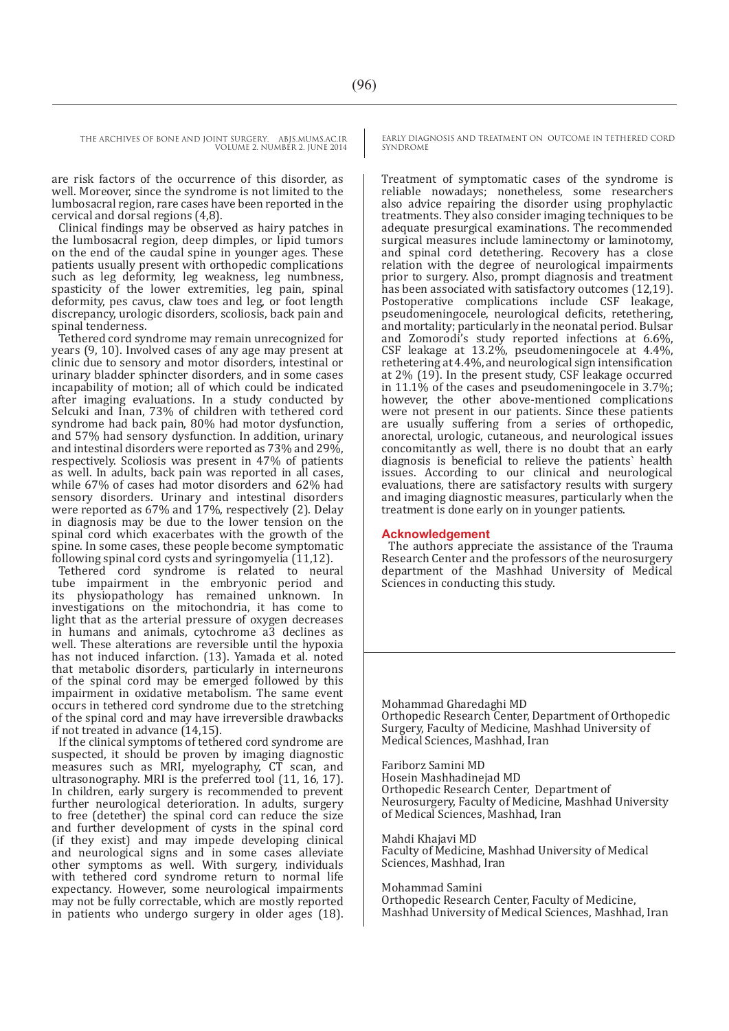THE ARCHIVES OF BONE AND JOINT SURGERY. ABJS.MUMS.AC.IR VOLUME 2. NUMBER 2. JUNE 2014

are risk factors of the occurrence of this disorder, as well. Moreover, since the syndrome is not limited to the lumbosacral region, rare cases have been reported in the cervical and dorsal regions (4,8).

Clinical findings may be observed as hairy patches in the lumbosacral region, deep dimples, or lipid tumors on the end of the caudal spine in younger ages. These patients usually present with orthopedic complications such as leg deformity, leg weakness, leg numbness, spasticity of the lower extremities, leg pain, spinal deformity, pes cavus, claw toes and leg, or foot length discrepancy, urologic disorders, scoliosis, back pain and spinal tenderness.

Tethered cord syndrome may remain unrecognized for years (9, 10). Involved cases of any age may present at clinic due to sensory and motor disorders, intestinal or urinary bladder sphincter disorders, and in some cases incapability of motion; all of which could be indicated after imaging evaluations. In a study conducted by Selcuki and Inan, 73% of children with tethered cord syndrome had back pain, 80% had motor dysfunction, and 57% had sensory dysfunction. In addition, urinary and intestinal disorders were reported as 73% and 29%, respectively. Scoliosis was present in 47% of patients as well. In adults, back pain was reported in all cases, while 67% of cases had motor disorders and 62% had sensory disorders. Urinary and intestinal disorders were reported as 67% and 17%, respectively (2). Delay in diagnosis may be due to the lower tension on the spinal cord which exacerbates with the growth of the spine. In some cases, these people become symptomatic following spinal cord cysts and syringomyelia (11,12).

Tethered cord syndrome is related to neural tube impairment in the embryonic period and its physiopathology has remained unknown. In investigations on the mitochondria, it has come to light that as the arterial pressure of oxygen decreases in humans and animals, cytochrome a3 declines as well. These alterations are reversible until the hypoxia has not induced infarction. (13). Yamada et al. noted that metabolic disorders, particularly in interneurons of the spinal cord may be emerged followed by this impairment in oxidative metabolism. The same event occurs in tethered cord syndrome due to the stretching of the spinal cord and may have irreversible drawbacks if not treated in advance (14,15).

If the clinical symptoms of tethered cord syndrome are suspected, it should be proven by imaging diagnostic measures such as MRI, myelography, CT scan, and ultrasonography. MRI is the preferred tool (11, 16, 17). In children, early surgery is recommended to prevent further neurological deterioration. In adults, surgery to free (detether) the spinal cord can reduce the size and further development of cysts in the spinal cord (if they exist) and may impede developing clinical and neurological signs and in some cases alleviate other symptoms as well. With surgery, individuals with tethered cord syndrome return to normal life expectancy. However, some neurological impairments may not be fully correctable, which are mostly reported in patients who undergo surgery in older ages (18).

EARLY DIAGNOSIS AND TREATMENT ON OUTCOME IN TETHERED CORD SYNDROME

Treatment of symptomatic cases of the syndrome is reliable nowadays; nonetheless, some researchers also advice repairing the disorder using prophylactic treatments. They also consider imaging techniques to be adequate presurgical examinations. The recommended surgical measures include laminectomy or laminotomy, and spinal cord detethering. Recovery has a close relation with the degree of neurological impairments prior to surgery. Also, prompt diagnosis and treatment has been associated with satisfactory outcomes (12,19). Postoperative complications include CSF leakage, pseudomeningocele, neurological deficits, retethering, and mortality; particularly in the neonatal period. Bulsar and Zomorodi's study reported infections at 6.6%, CSF leakage at 13.2%, pseudomeningocele at 4.4%, rethetering at 4.4%, and neurological sign intensification at 2% (19). In the present study, CSF leakage occurred in 11.1% of the cases and pseudomeningocele in 3.7%; however, the other above-mentioned complications were not present in our patients. Since these patients are usually suffering from a series of orthopedic, anorectal, urologic, cutaneous, and neurological issues concomitantly as well, there is no doubt that an early diagnosis is beneficial to relieve the patients` health issues. According to our clinical and neurological evaluations, there are satisfactory results with surgery and imaging diagnostic measures, particularly when the treatment is done early on in younger patients.

#### **Acknowledgement**

The authors appreciate the assistance of the Trauma Research Center and the professors of the neurosurgery department of the Mashhad University of Medical Sciences in conducting this study.

Mohammad Gharedaghi MD Orthopedic Research Center, Department of Orthopedic Surgery, Faculty of Medicine, Mashhad University of Medical Sciences, Mashhad, Iran

Fariborz Samini MD Hosein Mashhadinejad MD Orthopedic Research Center, Department of Neurosurgery, Faculty of Medicine, Mashhad University of Medical Sciences, Mashhad, Iran

Mahdi Khajavi MD Faculty of Medicine, Mashhad University of Medical Sciences, Mashhad, Iran

Mohammad Samini

Orthopedic Research Center, Faculty of Medicine, Mashhad University of Medical Sciences, Mashhad, Iran